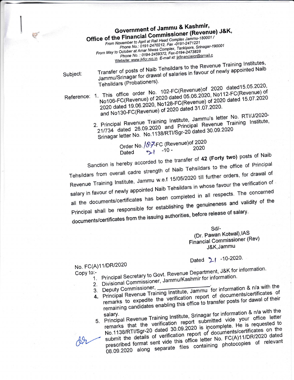Government of Jammu & Kashmir, Office of the Financial Commissioner (Revenue) J&K, From November to April at Rail Head Complex Jammu-180001 / Phone No.: 0191-2470212, Fax -0191-2471221 From May to October at Amar Niwas Complex, Tankipora, Srinagar-190001 Phone No.: 0194-2459372, Fax-0194-2473828 Website: www.jkfcr.nic.in E-mail id: jkfinancialcr@gmail.c

Subject:

Transfer of posts of Naib Tehsildars to the Revenue Training Institutes, Jammu/Srinagar for drawal of salaries in favour of newly appointed Naib Tehsildars (Probationers).

Reference: 1. This office order No. 102-FC(Revenue)of 2020 dated15.05.2020, No106-FC(Revenue) of 2020 dated 05.06.2020, No112-FC(Revenue) of 2020 dated 19.06.2020, No128-FC(Revenue) of 2020 dated 15.07.2020 and No130-FC(Revenue) of 2020 dated 31.07.2020.

2. Principal Revenue Training Institute, Jammu's letter No. RTI/J/2020-21/734 dated 26.09.2020 and Principal Revenue Training Institute, Srinagar letter No. No.1138/RTI/Sgr-20 dated 30.09.2020

Order No. / 87-FC (Revenue) of 2020  $21 - 10 -$ 2020 Dated

Sanction is hereby accorded to the transfer of 42 (Forty two) posts of Naib Tehsildars from overall cadre strength of Naib Tehsildars to the office of Principal Revenue Training Institute, Jammu w.e.f 15/05/2020 till further orders, for drawal of salary in favour of newly appointed Naib Tehsildars in whose favour the verification of all the documents/certificates has been completed in all respects. The concerned Principal shall be responsible for establishing the genuineness and validity of the documents/certificates from the issuing authorities, before release of salary.

Sd/-

(Dr. Pawan Kotwal), IAS Financial Commissioner (Rev) J&K, Jammu

Dated 21 -10-2020.

## No. FC(A)11/DR/2020

Copy to:-

1. Principal Secretary to Govt. Revenue Department, J&K for information.

- 2. Divisional Commissioner, Jammu/Kashmir for information.
- 3. Deputy Commissioner,
- 
- 4. Principal Revenue Training Institute, Jammu for information & n/a with the remarks to expedite the verification report of documents/certificates of remaining candidates enabling this office to transfer posts for dawal of their

5. Principal Revenue Training Institute, Srinagar for information & n/a with the remarks that the verification report submitted vide your office letter No.1138/RTI/Sgr-20 dated 30.09.2020 is incomplete. He is requested to submit the details of verification report of documents/certificates on the prescribed format sent vide this office letter No. FC(A)11/DR/2020 dated 08.09.2020 along separate files containing photocopies of relevant